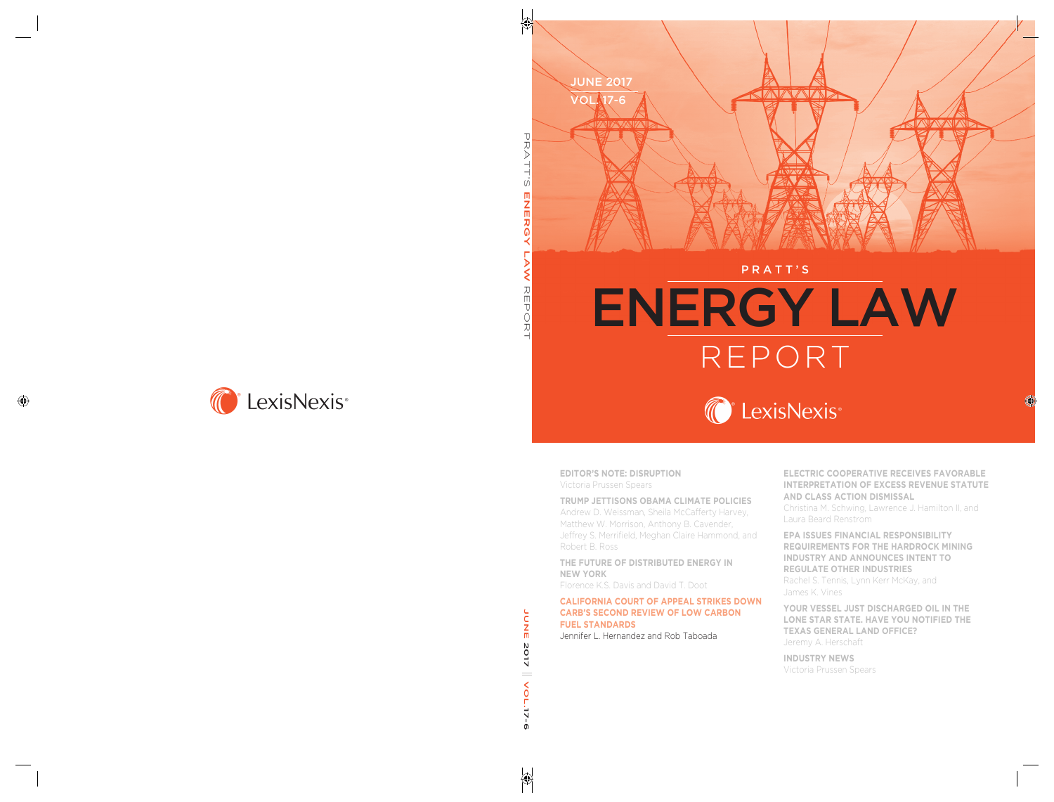

#### PRATT'S

# ENERGY LAW REPORT



**EDITOR'S NOTE: DISRUPTION**  Victoria Prussen Spears

#### **TRUMP JETTISONS OBAMA CLIMATE POLICIES**

Andrew D. Weissman, Sheila McCafferty Harvey, Matthew W. Morrison, Anthony B. Cavender, Jeffrey S. Merrifield, Meghan Claire Hammond, and Robert B. Ross

**THE FUTURE OF DISTRIBUTED ENERGY IN NEW YORK** 

Florence K.S. Davis and David T. Doot

#### **CALIFORNIA COURT OF APPEAL STRIKES DOWN CARB'S SECOND REVIEW OF LOW CARBON FUEL STANDARDS**

Jennifer L. Hernandez and Rob Taboada

**ELECTRIC COOPERATIVE RECEIVES FAVORABLE INTERPRETATION OF EXCESS REVENUE STATUTE AND CLASS ACTION DISMISSAL** 

Christina M. Schwing, Lawrence J. Hamilton II, and Laura Beard Renstrom

**EPA ISSUES FINANCIAL RESPONSIBILITY REQUIREMENTS FOR THE HARDROCK MINING INDUSTRY AND ANNOUNCES INTENT TO REGULATE OTHER INDUSTRIES**  Rachel S. Tennis, Lynn Kerr McKay, and James K. Vines

**YOUR VESSEL JUST DISCHARGED OIL IN THE LONE STAR STATE. HAVE YOU NOTIFIED THE TEXAS GENERAL LAND OFFICE?**  Jeremy A. Herschaft

**INDUSTRY NEWS**  Victoria Prussen Spears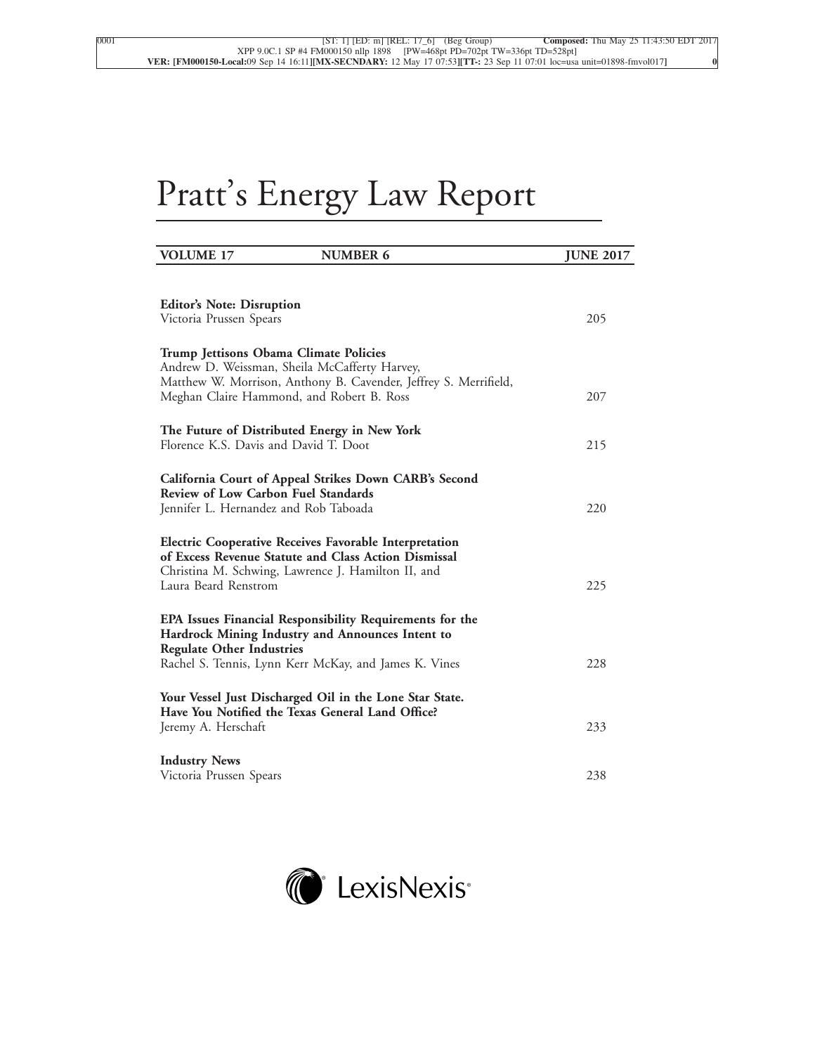# Pratt's Energy Law Report

| <b>VOLUME 17</b>                                                                                                                                                                                    | <b>NUMBER 6</b> | <b>JUNE 2017</b> |
|-----------------------------------------------------------------------------------------------------------------------------------------------------------------------------------------------------|-----------------|------------------|
| <b>Editor's Note: Disruption</b>                                                                                                                                                                    |                 |                  |
| Victoria Prussen Spears                                                                                                                                                                             |                 | 205              |
| Trump Jettisons Obama Climate Policies<br>Andrew D. Weissman, Sheila McCafferty Harvey,                                                                                                             |                 |                  |
| Matthew W. Morrison, Anthony B. Cavender, Jeffrey S. Merrifield,<br>Meghan Claire Hammond, and Robert B. Ross                                                                                       |                 | 207              |
| The Future of Distributed Energy in New York<br>Florence K.S. Davis and David T. Doot                                                                                                               |                 | 215              |
|                                                                                                                                                                                                     |                 |                  |
| California Court of Appeal Strikes Down CARB's Second<br><b>Review of Low Carbon Fuel Standards</b>                                                                                                 |                 | 220              |
| Jennifer L. Hernandez and Rob Taboada                                                                                                                                                               |                 |                  |
| <b>Electric Cooperative Receives Favorable Interpretation</b><br>of Excess Revenue Statute and Class Action Dismissal<br>Christina M. Schwing, Lawrence J. Hamilton II, and<br>Laura Beard Renstrom |                 | 225              |
| EPA Issues Financial Responsibility Requirements for the<br>Hardrock Mining Industry and Announces Intent to<br><b>Regulate Other Industries</b>                                                    |                 |                  |
| Rachel S. Tennis, Lynn Kerr McKay, and James K. Vines                                                                                                                                               |                 | 228              |
| Your Vessel Just Discharged Oil in the Lone Star State.<br>Have You Notified the Texas General Land Office?                                                                                         |                 |                  |
| Jeremy A. Herschaft                                                                                                                                                                                 |                 | 233              |
| <b>Industry News</b><br>Victoria Prussen Spears                                                                                                                                                     |                 | 238              |

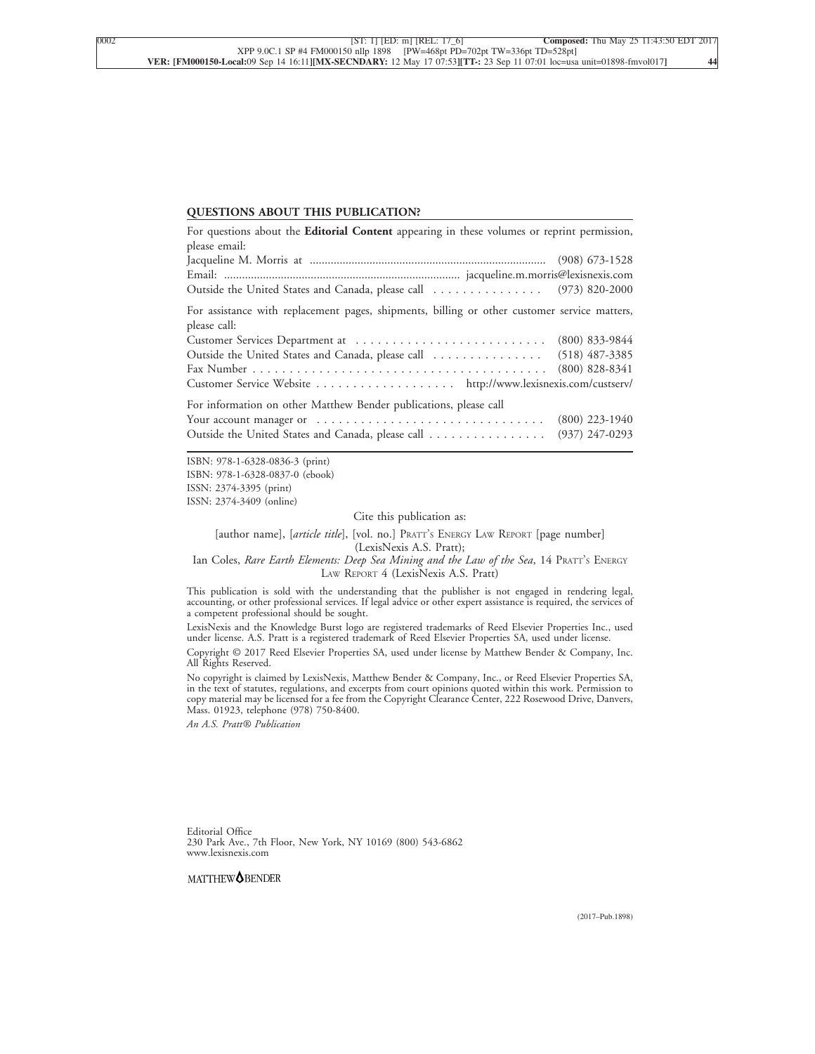#### **QUESTIONS ABOUT THIS PUBLICATION?**

| For questions about the Editorial Content appearing in these volumes or reprint permission,                  |                  |
|--------------------------------------------------------------------------------------------------------------|------------------|
| please email:                                                                                                |                  |
|                                                                                                              |                  |
|                                                                                                              |                  |
| Outside the United States and Canada, please call  (973) 820-2000                                            |                  |
| For assistance with replacement pages, shipments, billing or other customer service matters,<br>please call: |                  |
| Customer Services Department at                                                                              | $(800)$ 833-9844 |
| Outside the United States and Canada, please call  (518) 487-3385                                            |                  |
|                                                                                                              | $(800)$ 828-8341 |
| Customer Service Website http://www.lexisnexis.com/custserv/                                                 |                  |
| For information on other Matthew Bender publications, please call                                            |                  |
|                                                                                                              | $(800)$ 223-1940 |
| Outside the United States and Canada, please call                                                            | $(937)$ 247-0293 |

ISBN: 978-1-6328-0836-3 (print) ISBN: 978-1-6328-0837-0 (ebook) ISSN: 2374-3395 (print) ISSN: 2374-3409 (online)

Cite this publication as:

[author name], [*article title*], [vol. no.] PRATT'<sup>S</sup> ENERGY LAW REPORT [page number] (LexisNexis A.S. Pratt);

Ian Coles, *Rare Earth Elements: Deep Sea Mining and the Law of the Sea*, 14 PRATT'<sup>S</sup> ENERGY LAW REPORT 4 (LexisNexis A.S. Pratt)

This publication is sold with the understanding that the publisher is not engaged in rendering legal, accounting, or other professional services. If legal advice or other expert assistance is required, the services of a competent professional should be sought.

LexisNexis and the Knowledge Burst logo are registered trademarks of Reed Elsevier Properties Inc., used under license. A.S. Pratt is a registered trademark of Reed Elsevier Properties SA, used under license.

Copyright © 2017 Reed Elsevier Properties SA, used under license by Matthew Bender & Company, Inc. All Rights Reserved.

No copyright is claimed by LexisNexis, Matthew Bender & Company, Inc., or Reed Elsevier Properties SA, in the text of statutes, regulations, and excerpts from court opinions quoted within this work. Permission to copy material may be licensed for a fee from the Copyright Clearance Center, 222 Rosewood Drive, Danvers, Mass. 01923, telephone (978) 750-8400.

*An A.S. Pratt® Publication*

Editorial Office 230 Park Ave., 7th Floor, New York, NY 10169 (800) 543-6862 www.lexisnexis.com

MATTHEW<sup>O</sup>BENDER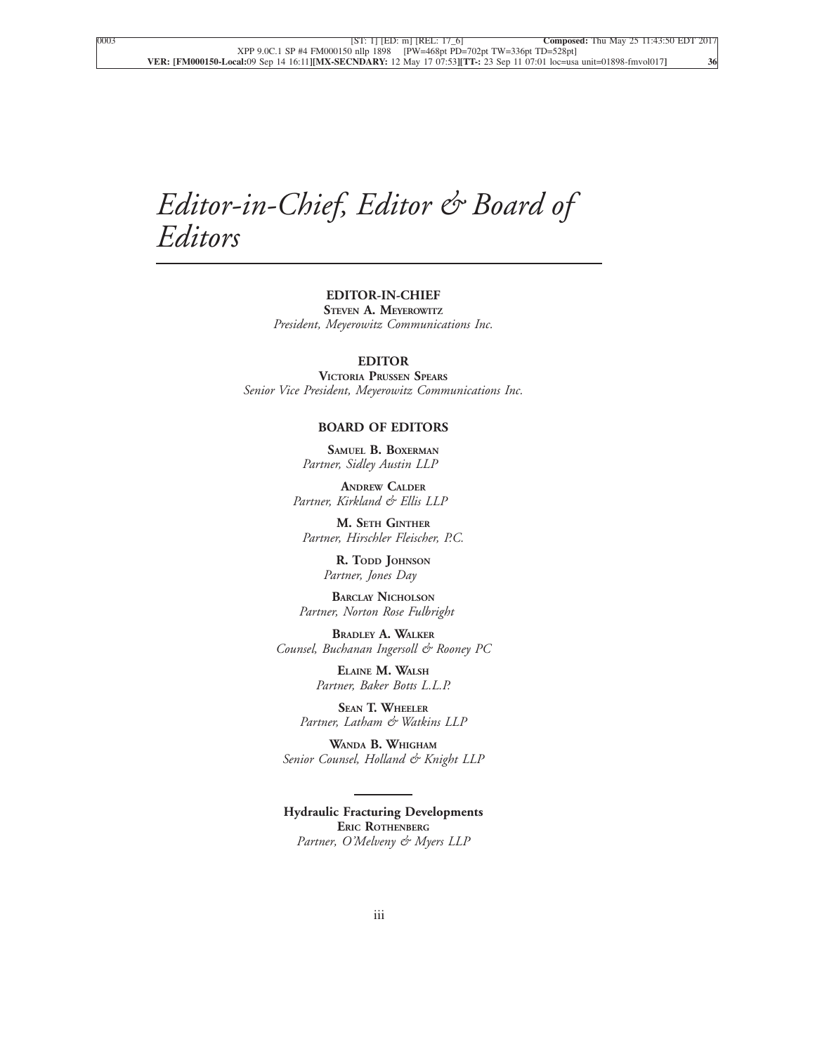## *Editor-in-Chief, Editor & Board of Editors*

#### **EDITOR-IN-CHIEF STEVEN A. MEYEROWITZ**

*President, Meyerowitz Communications Inc.*

#### **EDITOR**

**VICTORIA PRUSSEN SPEARS** *Senior Vice President, Meyerowitz Communications Inc.*

#### **BOARD OF EDITORS**

**SAMUEL B. BOXERMAN** *Partner, Sidley Austin LLP*

**ANDREW CALDER** *Partner, Kirkland & Ellis LLP*

**M. SETH GINTHER** *Partner, Hirschler Fleischer, P.C.*

> **R. TODD JOHNSON** *Partner, Jones Day*

**BARCLAY NICHOLSON** *Partner, Norton Rose Fulbright*

**BRADLEY A. WALKER** *Counsel, Buchanan Ingersoll & Rooney PC*

> **ELAINE M. WALSH** *Partner, Baker Botts L.L.P.*

**SEAN T. WHEELER** *Partner, Latham & Watkins LLP*

**WANDA B. WHIGHAM** *Senior Counsel, Holland & Knight LLP*

**Hydraulic Fracturing Developments ERIC ROTHENBERG** *Partner, O'Melveny & Myers LLP*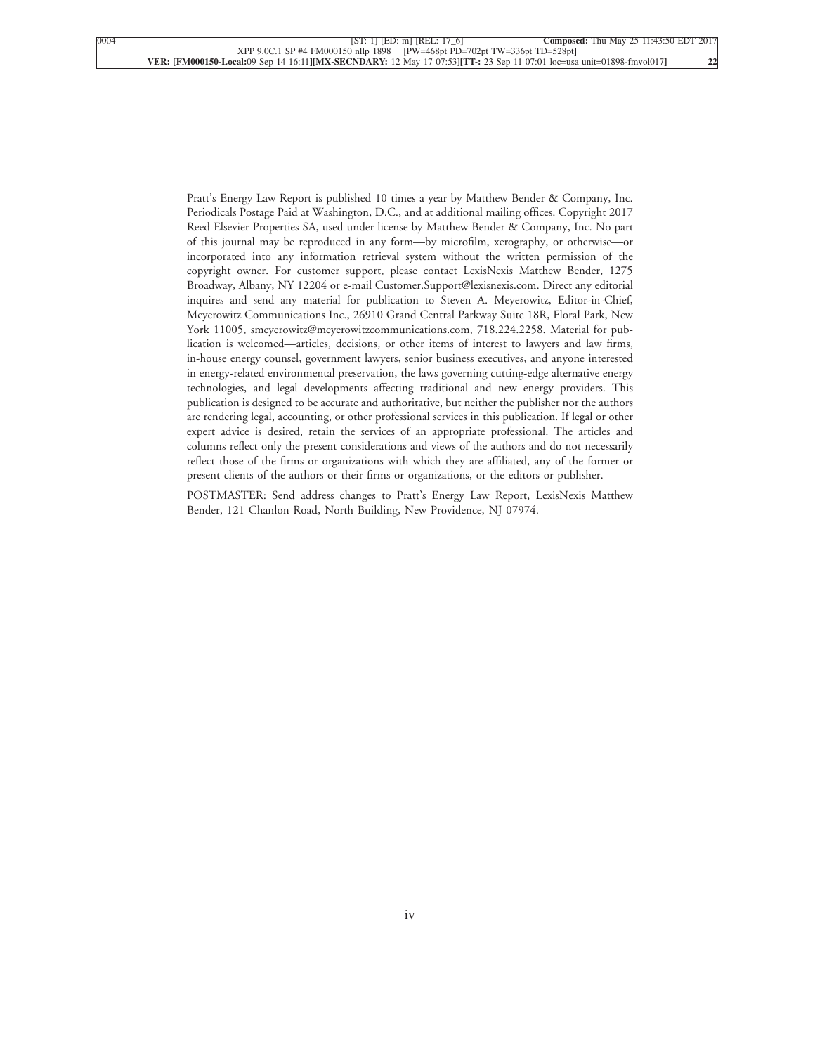Pratt's Energy Law Report is published 10 times a year by Matthew Bender & Company, Inc. Periodicals Postage Paid at Washington, D.C., and at additional mailing offices. Copyright 2017 Reed Elsevier Properties SA, used under license by Matthew Bender & Company, Inc. No part of this journal may be reproduced in any form—by microfilm, xerography, or otherwise—or incorporated into any information retrieval system without the written permission of the copyright owner. For customer support, please contact LexisNexis Matthew Bender, 1275 Broadway, Albany, NY 12204 or e-mail Customer.Support@lexisnexis.com. Direct any editorial inquires and send any material for publication to Steven A. Meyerowitz, Editor-in-Chief, Meyerowitz Communications Inc., 26910 Grand Central Parkway Suite 18R, Floral Park, New York 11005, smeyerowitz@meyerowitzcommunications.com, 718.224.2258. Material for publication is welcomed—articles, decisions, or other items of interest to lawyers and law firms, in-house energy counsel, government lawyers, senior business executives, and anyone interested in energy-related environmental preservation, the laws governing cutting-edge alternative energy technologies, and legal developments affecting traditional and new energy providers. This publication is designed to be accurate and authoritative, but neither the publisher nor the authors are rendering legal, accounting, or other professional services in this publication. If legal or other expert advice is desired, retain the services of an appropriate professional. The articles and columns reflect only the present considerations and views of the authors and do not necessarily reflect those of the firms or organizations with which they are affiliated, any of the former or present clients of the authors or their firms or organizations, or the editors or publisher.

POSTMASTER: Send address changes to Pratt's Energy Law Report, LexisNexis Matthew Bender, 121 Chanlon Road, North Building, New Providence, NJ 07974.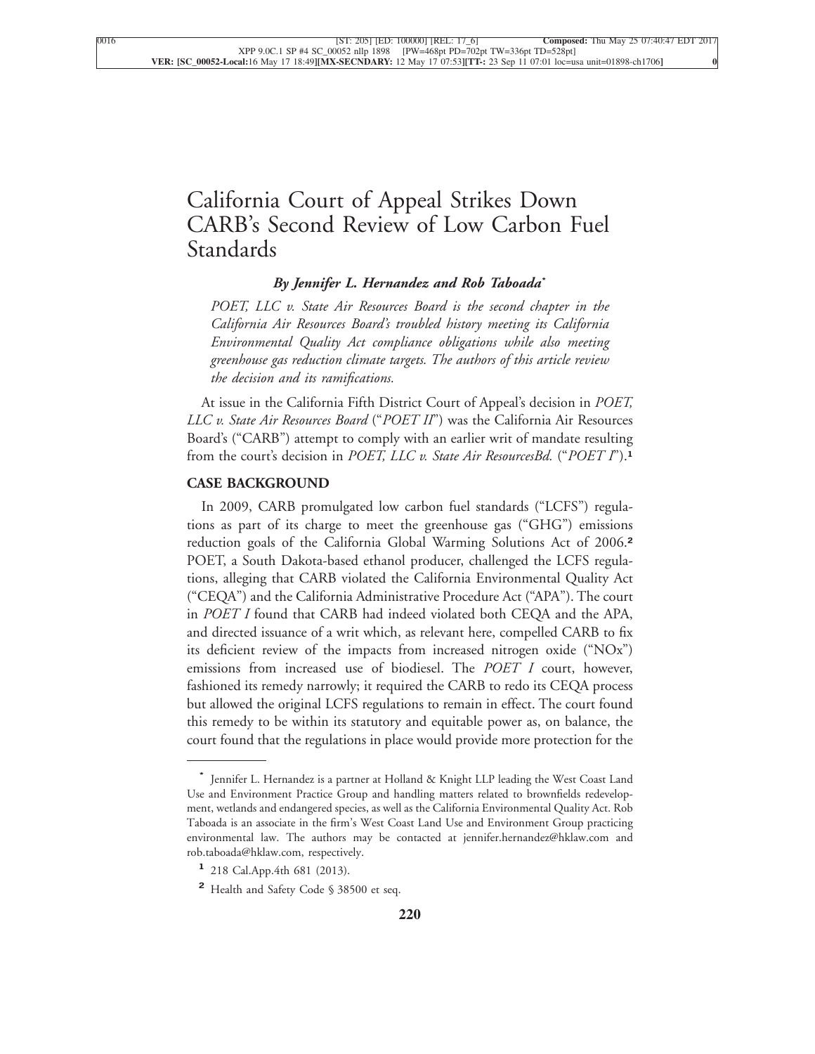### [California Court of Appeal Strikes Down](xpath-> core:title,  tr:secmain/core:title,  desig_title,  style_01) [CARB's Second Review of Low Carbon Fuel](xpath-> core:title,  tr:secmain/core:title,  desig_title,  style_01) [Standards](xpath-> core:title,  tr:secmain/core:title,  desig_title,  style_01)

#### *[By Jennifer L. Hernandez and Rob Taboada](xpath-> core:byline,  core:byline,  byline,  style_01)***\***

*[POET, LLC v. State Air Resources Board is the second chapter in the](xpath-> core:blockquote-para,  Default,  blockquote,  style_02) [California Air Resources Board's troubled history meeting its California](xpath-> core:blockquote-para,  Default,  blockquote,  style_02) [Environmental Quality Act compliance obligations while also meeting](xpath-> core:blockquote-para,  Default,  blockquote,  style_02) [greenhouse gas reduction climate targets. The authors of this article review](xpath-> core:blockquote-para,  Default,  blockquote,  style_02) [the decision and its ramifications.](xpath-> core:blockquote-para,  Default,  blockquote,  style_02)*

[At issue in the California Fifth District Court of Appeal's decision in](xpath-> core:para,  Default,  para-list,  style_01) *POET, LLC v. State Air Resources Board* ("*POET II*["\) was the California Air Resources](xpath-> core:para,  Default,  para-list,  style_01) [Board's \("CARB"\) attempt to comply with an earlier writ of mandate resulting](xpath-> core:para,  Default,  para-list,  style_01) from the court's decision in *[POET, LLC v. State Air ResourcesBd.](xpath-> core:para,  Default,  para-list,  style_01)* ("*POET I*").**<sup>1</sup>**

#### **[CASE BACKGROUND](xpath-> core:generic-hd,  Default,  core_generic_hd,  style_01)**

[In 2009, CARB promulgated low carbon fuel standards \("LCFS"\) regula](xpath-> core:para,  Default,  para-list,  style_01)[tions as part of its charge to meet the greenhouse gas \("GHG"\) emissions](xpath-> core:para,  Default,  para-list,  style_01) [reduction goals of the California Global Warming Solutions Act of 2006.](xpath-> core:para,  Default,  para-list,  style_01)**<sup>2</sup>** [POET, a South Dakota-based ethanol producer, challenged the LCFS regula](xpath-> core:para,  Default,  para-list,  style_01)[tions, alleging that CARB violated the California Environmental Quality Act](xpath-> core:para,  Default,  para-list,  style_01) [\("CEQA"\) and the California Administrative Procedure Act \("APA"\). The court](xpath-> core:para,  Default,  para-list,  style_01) in *POET I* [found that CARB had indeed violated both CEQA and the APA,](xpath-> core:para,  Default,  para-list,  style_01) [and directed issuance of a writ which, as relevant here, compelled CARB to fix](xpath-> core:para,  Default,  para-list,  style_01) [its deficient review of the impacts from increased nitrogen oxide \("NOx"\)](xpath-> core:para,  Default,  para-list,  style_01) [emissions from increased use of biodiesel. The](xpath-> core:para,  Default,  para-list,  style_01) *POET I* court, however, [fashioned its remedy narrowly; it required the CARB to redo its CEQA process](xpath-> core:para,  Default,  para-list,  style_01) [but allowed the original LCFS regulations to remain in effect. The court found](xpath-> core:para,  Default,  para-list,  style_01) [this remedy to be within its statutory and equitable power as, on balance, the](xpath-> core:para,  Default,  para-list,  style_01) [court found that the regulations in place would provide more protection for the](xpath-> core:para,  Default,  para-list,  style_01)

**<sup>\*</sup>** [Jennifer L. Hernandez is a partner at Holland & Knight LLP leading the West Coast Land](xpath-> pnfo:bio-para,  fn:bio-footnote/pnfo:bio-para,  byline,  ) [Use and Environment Practice Group and handling matters related to brownfields redevelop](xpath-> pnfo:bio-para,  fn:bio-footnote/pnfo:bio-para,  byline,  )[ment, wetlands and endangered species, as well as the California Environmental Quality Act. Rob](xpath-> pnfo:bio-para,  fn:bio-footnote/pnfo:bio-para,  byline,  ) [Taboada is an associate in the firm's West Coast Land Use and Environment Group practicing](xpath-> pnfo:bio-para,  fn:bio-footnote/pnfo:bio-para,  byline,  ) [environmental law. The authors may be contacted at jennifer.hernandez@hklaw.com and](xpath-> pnfo:bio-para,  fn:bio-footnote/pnfo:bio-para,  byline,  ) [rob.taboada@hklaw.com, respectively.](xpath-> pnfo:bio-para,  fn:bio-footnote/pnfo:bio-para,  byline,  )

**<sup>1</sup>** [218 Cal.App.4th 681 \(2013\).](xpath-> fn:para,  fn:footnote/fn:para,  footnote,  style_03)

**<sup>2</sup>** [Health and Safety Code § 38500 et seq.](xpath-> fn:para,  fn:footnote/fn:para,  footnote,  style_03)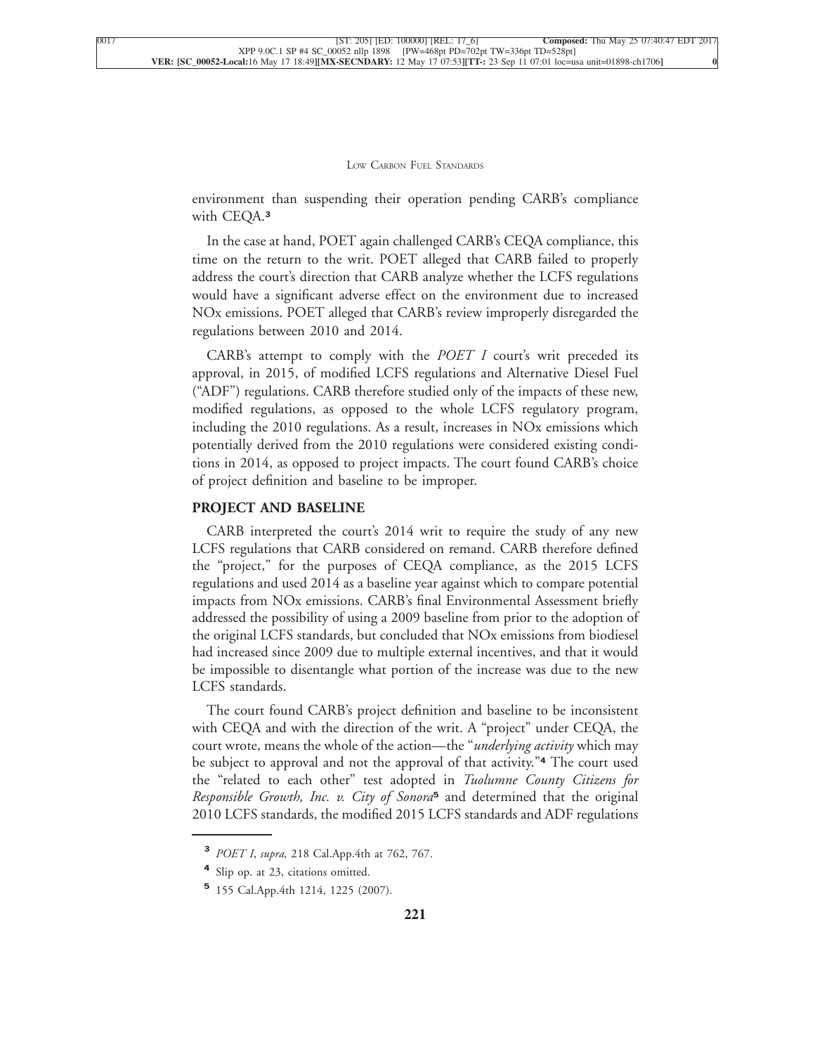environment than suspending their operation pending CARB's compliance [with CEQA.](xpath-> core:para,  Default,  para-list,  style_01)**<sup>3</sup>**

[In the case at hand, POET again challenged CARB's CEQA compliance, this](xpath-> core:para,  Default,  para-list,  style_01) [time on the return to the writ. POET alleged that CARB failed to properly](xpath-> core:para,  Default,  para-list,  style_01) [address the court's direction that CARB analyze whether the LCFS regulations](xpath-> core:para,  Default,  para-list,  style_01) [would have a significant adverse effect on the environment due to increased](xpath-> core:para,  Default,  para-list,  style_01) [NOx emissions. POET alleged that CARB's review improperly disregarded the](xpath-> core:para,  Default,  para-list,  style_01) [regulations between 2010 and 2014.](xpath-> core:para,  Default,  para-list,  style_01)

[CARB's attempt to comply with the](xpath-> core:para,  Default,  para-list,  style_01) *POET I* court's writ preceded its [approval, in 2015, of modified LCFS regulations and Alternative Diesel Fuel](xpath-> core:para,  Default,  para-list,  style_01) [\("ADF"\) regulations. CARB therefore studied only of the impacts of these new,](xpath-> core:para,  Default,  para-list,  style_01) [modified regulations, as opposed to the whole LCFS regulatory program,](xpath-> core:para,  Default,  para-list,  style_01) [including the 2010 regulations. As a result, increases in NOx emissions which](xpath-> core:para,  Default,  para-list,  style_01) [potentially derived from the 2010 regulations were considered existing condi](xpath-> core:para,  Default,  para-list,  style_01)[tions in 2014, as opposed to project impacts. The court found CARB's choice](xpath-> core:para,  Default,  para-list,  style_01) [of project definition and baseline to be improper.](xpath-> core:para,  Default,  para-list,  style_01)

#### **[PROJECT AND BASELINE](xpath-> core:generic-hd,  Default,  core_generic_hd,  style_01)**

[CARB interpreted the court's 2014 writ to require the study of any new](xpath-> core:para,  Default,  para-list,  style_01) [LCFS regulations that CARB considered on remand. CARB therefore defined](xpath-> core:para,  Default,  para-list,  style_01) [the "project," for the purposes of CEQA compliance, as the 2015 LCFS](xpath-> core:para,  Default,  para-list,  style_01) [regulations and used 2014 as a baseline year against which to compare potential](xpath-> core:para,  Default,  para-list,  style_01) [impacts from NOx emissions. CARB's final Environmental Assessment briefly](xpath-> core:para,  Default,  para-list,  style_01) [addressed the possibility of using a 2009 baseline from prior to the adoption of](xpath-> core:para,  Default,  para-list,  style_01) [the original LCFS standards, but concluded that NOx emissions from biodiesel](xpath-> core:para,  Default,  para-list,  style_01) [had increased since 2009 due to multiple external incentives, and that it would](xpath-> core:para,  Default,  para-list,  style_01) [be impossible to disentangle what portion of the increase was due to the new](xpath-> core:para,  Default,  para-list,  style_01) [LCFS standards.](xpath-> core:para,  Default,  para-list,  style_01)

[The court found CARB's project definition and baseline to be inconsistent](xpath-> core:para,  Default,  para-list,  style_01) [with CEQA and with the direction of the writ. A "project" under CEQA, the](xpath-> core:para,  Default,  para-list,  style_01) [court wrote, means the whole of the action—the "](xpath-> core:para,  Default,  para-list,  style_01)*underlying activity* which may [be subject to approval and not the approval of that activity."](xpath-> core:para,  Default,  para-list,  style_01)**<sup>4</sup>** The court used [the "related to each other" test adopted in](xpath-> core:para,  Default,  para-list,  style_01) *Tuolumne County Citizens for [Responsible Growth, Inc. v. City of Sonora](xpath-> core:para,  Default,  para-list,  style_01)***<sup>5</sup>** and determined that the original [2010 LCFS standards, the modified 2015 LCFS standards and ADF regulations](xpath-> core:para,  Default,  para-list,  style_01)

**<sup>3</sup>** *POET I*, *supra,* [218 Cal.App.4th at 762, 767.](xpath-> fn:para,  fn:footnote/fn:para,  footnote,  style_03)

**<sup>4</sup>** [Slip op. at 23, citations omitted.](xpath-> fn:para,  fn:footnote/fn:para,  footnote,  style_03)

**<sup>5</sup>** [155 Cal.App.4th 1214, 1225 \(2007\).](xpath-> fn:para,  fn:footnote/fn:para,  footnote,  style_03)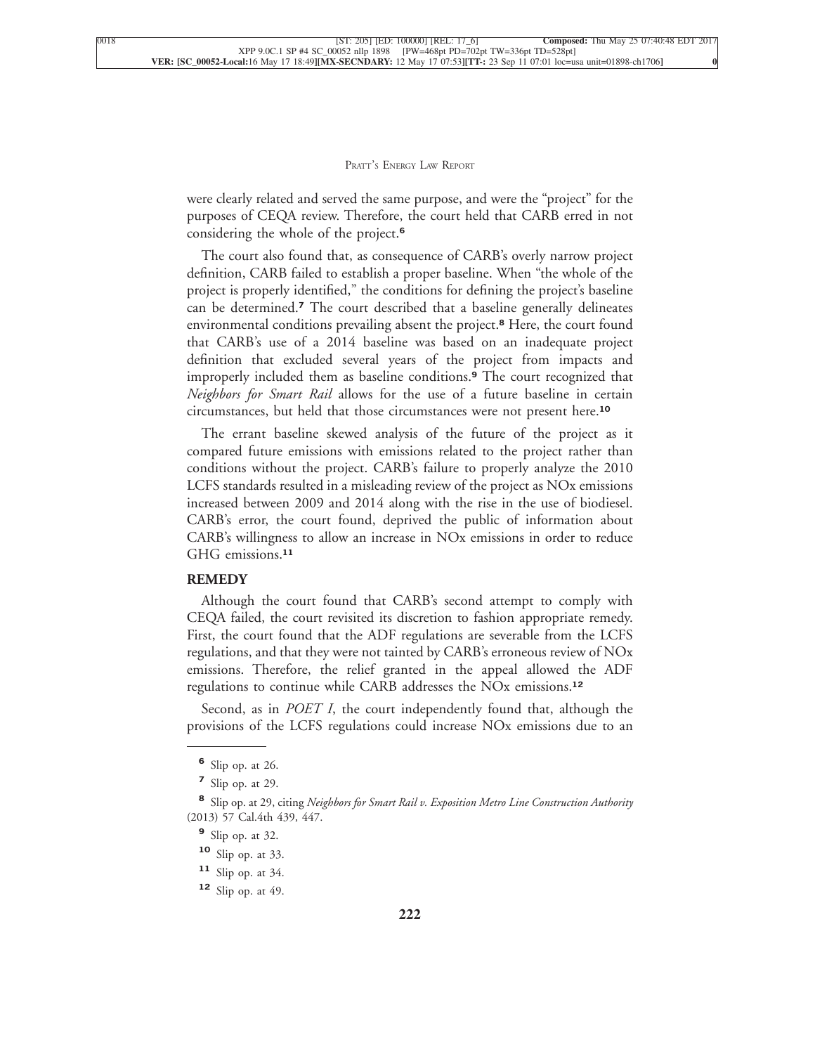were clearly related and served the same purpose, and were the "project" for the purposes of CEQA review. Therefore, the court held that CARB erred in not [considering the whole of the project.](xpath-> core:para,  Default,  para-list,  style_01)**<sup>6</sup>**

[The court also found that, as consequence of CARB's overly narrow project](xpath-> core:para,  Default,  para-list,  style_01) [definition, CARB failed to establish a proper baseline. When "the whole of the](xpath-> core:para,  Default,  para-list,  style_01) [project is properly identified," the conditions for defining the project's baseline](xpath-> core:para,  Default,  para-list,  style_01) can be determined.**<sup>7</sup>** [The court described that a baseline generally delineates](xpath-> core:para,  Default,  para-list,  style_01) [environmental conditions prevailing absent the project.](xpath-> core:para,  Default,  para-list,  style_01)**<sup>8</sup>** Here, the court found [that CARB's use of a 2014 baseline was based on an inadequate project](xpath-> core:para,  Default,  para-list,  style_01) [definition that excluded several years of the project from impacts and](xpath-> core:para,  Default,  para-list,  style_01) [improperly included them as baseline conditions.](xpath-> core:para,  Default,  para-list,  style_01)**<sup>9</sup>** The court recognized that *Neighbors for Smart Rail* [allows for the use of a future baseline in certain](xpath-> core:para,  Default,  para-list,  style_01) [circumstances, but held that those circumstances were not present here.](xpath-> core:para,  Default,  para-list,  style_01)**<sup>10</sup>**

[The errant baseline skewed analysis of the future of the project as it](xpath-> core:para,  Default,  para-list,  style_01) [compared future emissions with emissions related to the project rather than](xpath-> core:para,  Default,  para-list,  style_01) [conditions without the project. CARB's failure to properly analyze the 2010](xpath-> core:para,  Default,  para-list,  style_01) [LCFS standards resulted in a misleading review of the project as NOx emissions](xpath-> core:para,  Default,  para-list,  style_01) [increased between 2009 and 2014 along with the rise in the use of biodiesel.](xpath-> core:para,  Default,  para-list,  style_01) [CARB's error, the court found, deprived the public of information about](xpath-> core:para,  Default,  para-list,  style_01) [CARB's willingness to allow an increase in NOx emissions in order to reduce](xpath-> core:para,  Default,  para-list,  style_01) [GHG emissions.](xpath-> core:para,  Default,  para-list,  style_01)**<sup>11</sup>**

#### **[REMEDY](xpath-> core:generic-hd,  Default,  core_generic_hd,  style_01)**

[Although the court found that CARB's second attempt to comply with](xpath-> core:para,  Default,  para-list,  style_01) [CEQA failed, the court revisited its discretion to fashion appropriate remedy.](xpath-> core:para,  Default,  para-list,  style_01) [First, the court found that the ADF regulations are severable from the LCFS](xpath-> core:para,  Default,  para-list,  style_01) [regulations, and that they were not tainted by CARB's erroneous review of NOx](xpath-> core:para,  Default,  para-list,  style_01) [emissions. Therefore, the relief granted in the appeal allowed the ADF](xpath-> core:para,  Default,  para-list,  style_01) [regulations to continue while CARB addresses the NOx emissions.](xpath-> core:para,  Default,  para-list,  style_01)**<sup>12</sup>**

Second, as in *POET I*[, the court independently found that, although the](xpath-> core:para,  Default,  para-list,  style_01) [provisions of the LCFS regulations could increase NOx emissions due to an](xpath-> core:para,  Default,  para-list,  style_01)

**<sup>6</sup>** [Slip op. at 26.](xpath-> fn:para,  fn:footnote/fn:para,  footnote,  style_03)

**<sup>7</sup>** [Slip op. at 29.](xpath-> fn:para,  fn:footnote/fn:para,  footnote,  style_03)

**<sup>8</sup>** Slip op. at 29, citing *[Neighbors for Smart Rail v. Exposition Metro Line Construction Authority](xpath-> fn:para,  fn:footnote/fn:para,  footnote,  style_03)* [\(2013\) 57 Cal.4th 439, 447.](xpath-> fn:para,  fn:footnote/fn:para,  footnote,  style_03)

**<sup>9</sup>** [Slip op. at 32.](xpath-> fn:para,  fn:footnote/fn:para,  footnote,  style_03)

**<sup>10</sup>** [Slip op. at 33.](xpath-> fn:para,  fn:footnote/fn:para,  footnote,  style_03)

**<sup>11</sup>** [Slip op. at 34.](xpath-> fn:para,  fn:footnote/fn:para,  footnote,  style_03)

**<sup>12</sup>** [Slip op. at 49.](xpath-> fn:para,  fn:footnote/fn:para,  footnote,  style_03)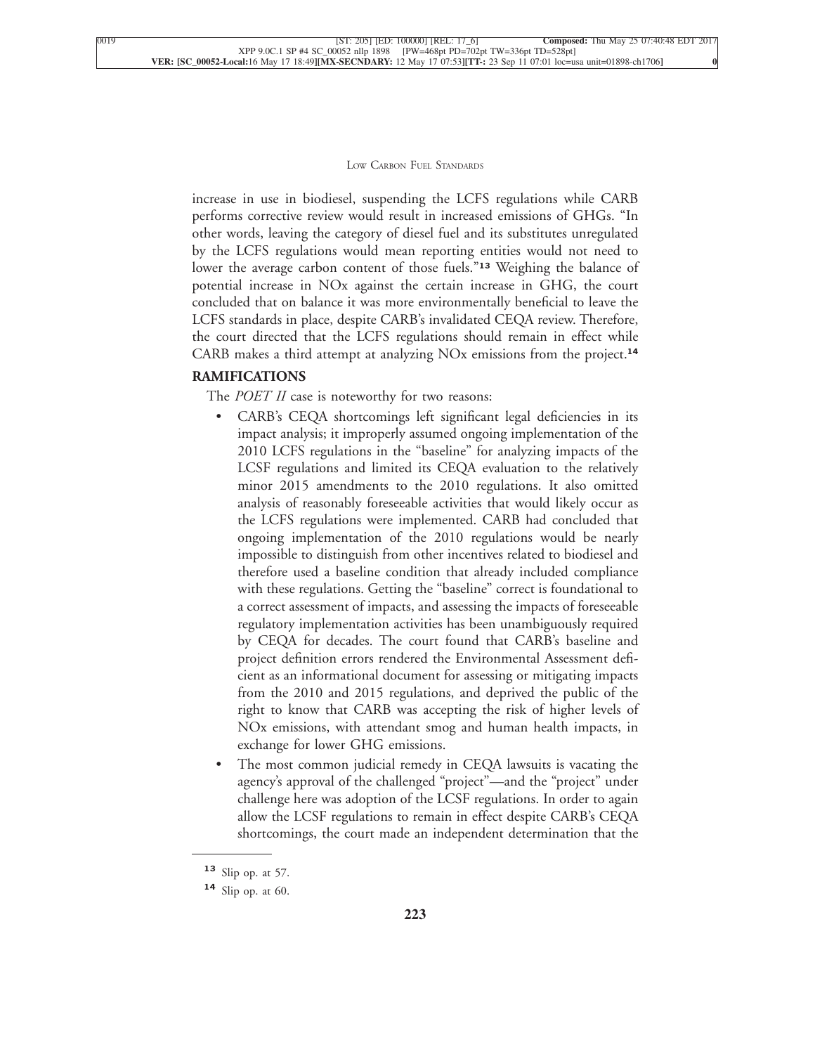increase in use in biodiesel, suspending the LCFS regulations while CARB performs corrective review would result in increased emissions of GHGs. "In other words, leaving the category of diesel fuel and its substitutes unregulated by the LCFS regulations would mean reporting entities would not need to lower the average carbon content of those fuels."**<sup>13</sup>** Weighing the balance of potential increase in NOx against the certain increase in GHG, the court concluded that on balance it was more environmentally beneficial to leave the LCFS standards in place, despite CARB's invalidated CEQA review. Therefore, the court directed that the LCFS regulations should remain in effect while [CARB makes a third attempt at analyzing NOx emissions from the project.](xpath-> core:para,  Default,  para-list,  style_01)**<sup>14</sup>**

#### **[RAMIFICATIONS](xpath-> core:generic-hd,  Default,  core_generic_hd,  style_01)**

The *POET II* [case is noteworthy for two reasons:](xpath-> core:para,  Default,  para-list,  style_01)

- [•](xpath-> core:enum,  core:listitem/core:enum,  para-list,  style_01) [CARB's CEQA shortcomings left significant legal deficiencies in its](xpath-> core:para,  core:listitem/core:para,  para-list,  style_01) [impact analysis; it improperly assumed ongoing implementation of the](xpath-> core:para,  core:listitem/core:para,  para-list,  style_01) [2010 LCFS regulations in the "baseline" for analyzing impacts of the](xpath-> core:para,  core:listitem/core:para,  para-list,  style_01) [LCSF regulations and limited its CEQA evaluation to the relatively](xpath-> core:para,  core:listitem/core:para,  para-list,  style_01) [minor 2015 amendments to the 2010 regulations. It also omitted](xpath-> core:para,  core:listitem/core:para,  para-list,  style_01) [analysis of reasonably foreseeable activities that would likely occur as](xpath-> core:para,  core:listitem/core:para,  para-list,  style_01) [the LCFS regulations were implemented. CARB had concluded that](xpath-> core:para,  core:listitem/core:para,  para-list,  style_01) [ongoing implementation of the 2010 regulations would be nearly](xpath-> core:para,  core:listitem/core:para,  para-list,  style_01) [impossible to distinguish from other incentives related to biodiesel and](xpath-> core:para,  core:listitem/core:para,  para-list,  style_01) [therefore used a baseline condition that already included compliance](xpath-> core:para,  core:listitem/core:para,  para-list,  style_01) [with these regulations. Getting the "baseline" correct is foundational to](xpath-> core:para,  core:listitem/core:para,  para-list,  style_01) [a correct assessment of impacts, and assessing the impacts of foreseeable](xpath-> core:para,  core:listitem/core:para,  para-list,  style_01) [regulatory implementation activities has been unambiguously required](xpath-> core:para,  core:listitem/core:para,  para-list,  style_01) [by CEQA for decades. The court found that CARB's baseline and](xpath-> core:para,  core:listitem/core:para,  para-list,  style_01) [project definition errors rendered the Environmental Assessment defi](xpath-> core:para,  core:listitem/core:para,  para-list,  style_01)[cient as an informational document for assessing or mitigating impacts](xpath-> core:para,  core:listitem/core:para,  para-list,  style_01) [from the 2010 and 2015 regulations, and deprived the public of the](xpath-> core:para,  core:listitem/core:para,  para-list,  style_01) [right to know that CARB was accepting the risk of higher levels of](xpath-> core:para,  core:listitem/core:para,  para-list,  style_01) [NOx emissions, with attendant smog and human health impacts, in](xpath-> core:para,  core:listitem/core:para,  para-list,  style_01) [exchange for lower GHG emissions.](xpath-> core:para,  core:listitem/core:para,  para-list,  style_01)
- [•](xpath-> core:enum,  core:listitem/core:enum,  para-list,  style_01) [The most common judicial remedy in CEQA lawsuits is vacating the](xpath-> core:para,  core:listitem/core:para,  para-list,  style_01) [agency's approval of the challenged "project"—and the "project" under](xpath-> core:para,  core:listitem/core:para,  para-list,  style_01) [challenge here was adoption of the LCSF regulations. In order to again](xpath-> core:para,  core:listitem/core:para,  para-list,  style_01) [allow the LCSF regulations to remain in effect despite CARB's CEQA](xpath-> core:para,  core:listitem/core:para,  para-list,  style_01) [shortcomings, the court made an independent determination that the](xpath-> core:para,  core:listitem/core:para,  para-list,  style_01)

**<sup>13</sup>** [Slip op. at 57.](xpath-> fn:para,  fn:footnote/fn:para,  footnote,  style_03)

**<sup>14</sup>** [Slip op. at 60.](xpath-> fn:para,  fn:footnote/fn:para,  footnote,  style_03)